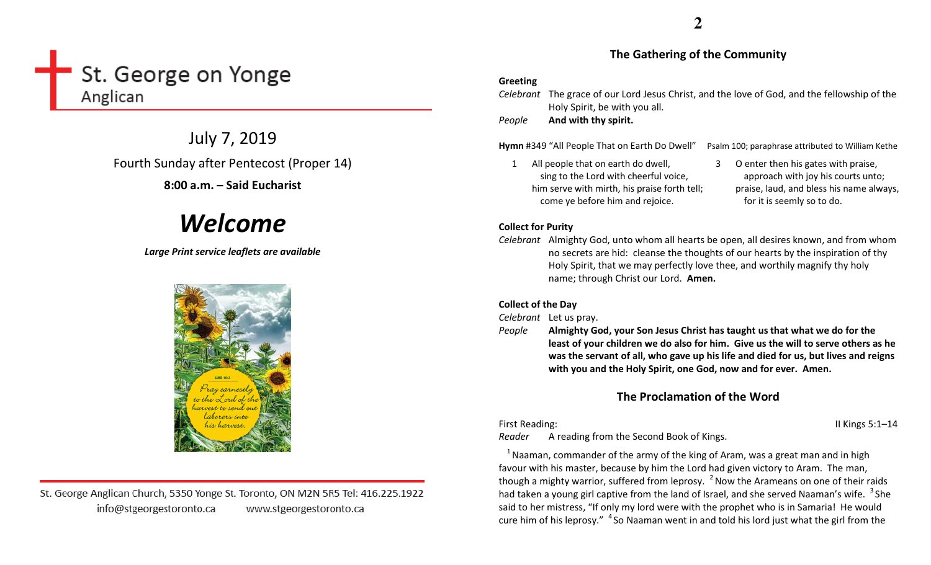# St. George on Yonge Anglican

July 7, 2019 Fourth Sunday after Pentecost (Proper 14)

8:00 a.m. – Said Eucharist

# Welcome

Large Print service leaflets are available



St. George Anglican Church, 5350 Yonge St. Toronto, ON M2N 5R5 Tel: 416.225.1922 info@stgeorgestoronto.ca www.stgeorgestoronto.ca

# The Gathering of the Community

## Greeting

Celebrant The grace of our Lord Jesus Christ, and the love of God, and the fellowship of the Holy Spirit, be with you all.

PeopleAnd with thy spirit.

Hymn #349 "All People That on Earth Do Dwell" Psalm 100; paraphrase attributed to William Kethe

- 1 All people that on earth do dwell, sing to the Lord with cheerful voice, him serve with mirth, his praise forth tell; come ye before him and rejoice.
- 3 O enter then his gates with praise, approach with joy his courts unto; praise, laud, and bless his name always, for it is seemly so to do.

# Collect for Purity

Celebrant Almighty God, unto whom all hearts be open, all desires known, and from whom no secrets are hid: cleanse the thoughts of our hearts by the inspiration of thy Holy Spirit, that we may perfectly love thee, and worthily magnify thy holy name; through Christ our Lord. Amen.

# Collect of the Day

Celebrant Let us pray.

People Almighty God, your Son Jesus Christ has taught us that what we do for the least of your children we do also for him. Give us the will to serve others as he was the servant of all, who gave up his life and died for us, but lives and reigns with you and the Holy Spirit, one God, now and for ever. Amen.

# The Proclamation of the Word

First Reading: II Kings 5:1–14

Reader A reading from the Second Book of Kings.

 $1$  Naaman, commander of the army of the king of Aram, was a great man and in high favour with his master, because by him the Lord had given victory to Aram. The man, though a mighty warrior, suffered from leprosy.  $^2$  Now the Arameans on one of their raids had taken a young girl captive from the land of Israel, and she served Naaman's wife. <sup>3</sup> She said to her mistress, "If only my lord were with the prophet who is in Samaria! He would cure him of his leprosy."  $4$  So Naaman went in and told his lord just what the girl from the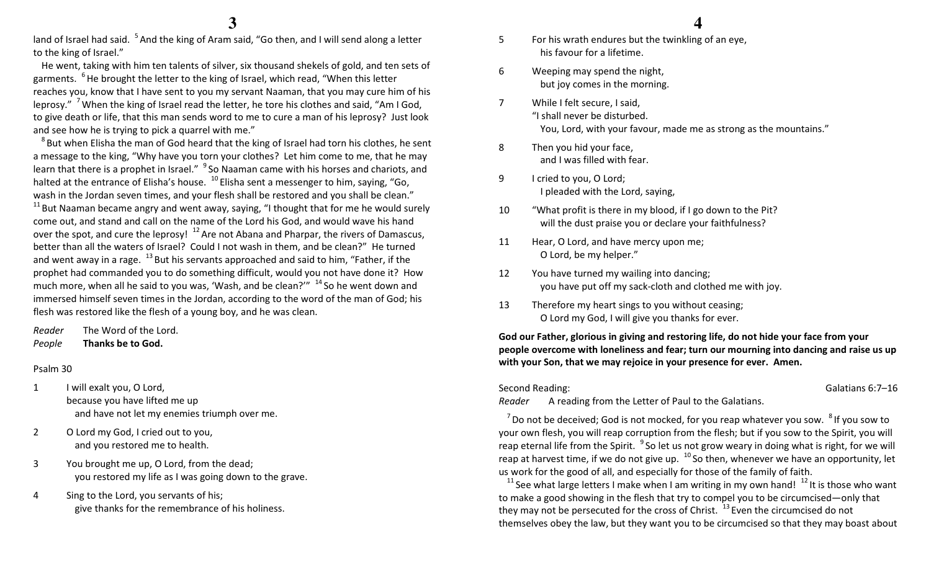land of Israel had said. <sup>5</sup> And the king of Aram said, "Go then, and I will send along a letter to the king of Israel."

He went, taking with him ten talents of silver, six thousand shekels of gold, and ten sets of garments. <sup>6</sup>He brought the letter to the king of Israel, which read, "When this letter reaches you, know that I have sent to you my servant Naaman, that you may cure him of his leprosy." <sup>7</sup> When the king of Israel read the letter, he tore his clothes and said, "Am I God, to give death or life, that this man sends word to me to cure a man of his leprosy? Just look and see how he is trying to pick a quarrel with me."

 $8$ But when Elisha the man of God heard that the king of Israel had torn his clothes, he sent a message to the king, "Why have you torn your clothes? Let him come to me, that he may learn that there is a prophet in Israel." <sup>9</sup> So Naaman came with his horses and chariots, and halted at the entrance of Elisha's house.  $^{10}$  Elisha sent a messenger to him, saying, "Go, wash in the Jordan seven times, and your flesh shall be restored and you shall be clean."  $11$  But Naaman became angry and went away, saying, "I thought that for me he would surely come out, and stand and call on the name of the Lord his God, and would wave his hand over the spot, and cure the leprosy!  $12$  Are not Abana and Pharpar, the rivers of Damascus, better than all the waters of Israel? Could I not wash in them, and be clean?" He turned and went away in a rage.  $^{13}$  But his servants approached and said to him, "Father, if the prophet had commanded you to do something difficult, would you not have done it? How much more, when all he said to you was, 'Wash, and be clean?'"  $14$  So he went down and immersed himself seven times in the Jordan, according to the word of the man of God; his flesh was restored like the flesh of a young boy, and he was clean.

Reader The Word of the Lord. PeopleThanks be to God.

#### Psalm 30

- 1 I will exalt you, O Lord, because you have lifted me up and have not let my enemies triumph over me.
- 2 O Lord my God, I cried out to you, and you restored me to health.
- 3 You brought me up, O Lord, from the dead; you restored my life as I was going down to the grave.
- 4 Sing to the Lord, you servants of his; give thanks for the remembrance of his holiness.
- 5 For his wrath endures but the twinkling of an eye, his favour for a lifetime.
- 6 Weeping may spend the night, but joy comes in the morning.
- 7 While I felt secure, I said, "I shall never be disturbed. You, Lord, with your favour, made me as strong as the mountains."
- 8 Then you hid your face, and I was filled with fear.
- 9 I cried to you, O Lord; I pleaded with the Lord, saying,
- 10 "What profit is there in my blood, if I go down to the Pit? will the dust praise you or declare your faithfulness?
- 11 Hear, O Lord, and have mercy upon me; O Lord, be my helper."
- 12 You have turned my wailing into dancing; you have put off my sack-cloth and clothed me with joy.
- 13 Therefore my heart sings to you without ceasing;O Lord my God, I will give you thanks for ever.

God our Father, glorious in giving and restoring life, do not hide your face from your people overcome with loneliness and fear; turn our mourning into dancing and raise us up with your Son, that we may rejoice in your presence for ever. Amen.

Second Reading: Galatians 6:7–16

Reader A reading from the Letter of Paul to the Galatians.

 $<sup>7</sup>$  Do not be deceived; God is not mocked, for you reap whatever you sow.  $<sup>8</sup>$  If you sow to</sup></sup> your own flesh, you will reap corruption from the flesh; but if you sow to the Spirit, you will reap eternal life from the Spirit.  $9$  So let us not grow weary in doing what is right, for we will reap at harvest time, if we do not give up.  $^{10}$  So then, whenever we have an opportunity, let us work for the good of all, and especially for those of the family of faith.

<sup>11</sup> See what large letters I make when I am writing in my own hand!  $12$  It is those who want to make a good showing in the flesh that try to compel you to be circumcised—only that they may not be persecuted for the cross of Christ.  $^{13}$  Even the circumcised do not themselves obey the law, but they want you to be circumcised so that they may boast about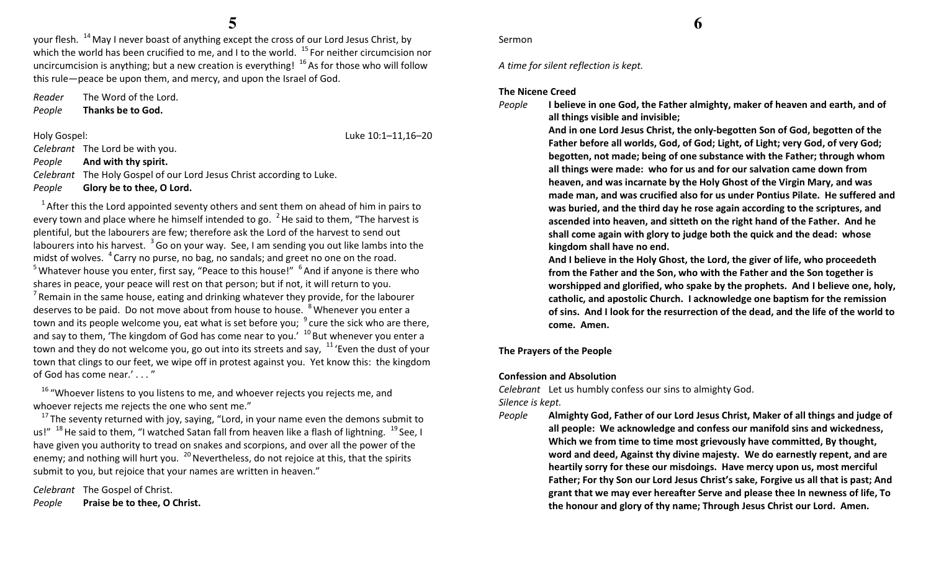your flesh. <sup>14</sup> May I never boast of anything except the cross of our Lord Jesus Christ, by which the world has been crucified to me, and I to the world.  $15$  For neither circumcision nor uncircumcision is anything; but a new creation is everything!  $16$  As for those who will follow this rule—peace be upon them, and mercy, and upon the Israel of God.

Reader The Word of the Lord. PeopleThanks be to God.

Holy Gospel: Luke 10:1–11,16–20 Celebrant The Lord be with you. People And with thy spirit. Celebrant The Holy Gospel of our Lord Jesus Christ according to Luke. PeopleGlory be to thee, O Lord.

 $1$ After this the Lord appointed seventy others and sent them on ahead of him in pairs to every town and place where he himself intended to go.  $\mathrm{^{2}}$  He said to them, "The harvest is plentiful, but the labourers are few; therefore ask the Lord of the harvest to send out labourers into his harvest.  $3$  Go on your way. See, I am sending you out like lambs into the midst of wolves.  $4^{\circ}$ Carry no purse, no bag, no sandals; and greet no one on the road. <sup>5</sup> Whatever house you enter, first say, "Peace to this house!"  $6^6$  And if anyone is there who shares in peace, your peace will rest on that person; but if not, it will return to you. <sup>7</sup> Remain in the same house, eating and drinking whatever they provide, for the labourer deserves to be paid. Do not move about from house to house. <sup>8</sup>Whenever you enter a town and its people welcome you, eat what is set before you;  $\,^9$  cure the sick who are there, and say to them, 'The kingdom of God has come near to you.'  $10$  But whenever you enter a town and they do not welcome you, go out into its streets and say,  $11$  'Even the dust of your town that clings to our feet, we wipe off in protest against you. Yet know this: the kingdom of God has come near.' . . . "

<sup>16</sup> "Whoever listens to you listens to me, and whoever rejects you rejects me, and whoever rejects me rejects the one who sent me."

 $^{17}$ The seventy returned with joy, saying, "Lord, in your name even the demons submit to us!"  $^{18}$  He said to them, "I watched Satan fall from heaven like a flash of lightning.  $^{19}$  See, I have given you authority to tread on snakes and scorpions, and over all the power of the enemy; and nothing will hurt you.  $^{20}$  Nevertheless, do not rejoice at this, that the spirits submit to you, but rejoice that your names are written in heaven."

Celebrant The Gospel of Christ. PeoplePraise be to thee, O Christ. A time for silent reflection is kept.

### The Nicene Creed

People

Sermon

 I believe in one God, the Father almighty, maker of heaven and earth, and of all things visible and invisible;

 And in one Lord Jesus Christ, the only-begotten Son of God, begotten of the Father before all worlds, God, of God; Light, of Light; very God, of very God; begotten, not made; being of one substance with the Father; through whom all things were made: who for us and for our salvation came down from heaven, and was incarnate by the Holy Ghost of the Virgin Mary, and was made man, and was crucified also for us under Pontius Pilate. He suffered and was buried, and the third day he rose again according to the scriptures, and ascended into heaven, and sitteth on the right hand of the Father. And he shall come again with glory to judge both the quick and the dead: whose kingdom shall have no end.

And I believe in the Holy Ghost, the Lord, the giver of life, who proceedeth from the Father and the Son, who with the Father and the Son together is worshipped and glorified, who spake by the prophets. And I believe one, holy, catholic, and apostolic Church. I acknowledge one baptism for the remission of sins. And I look for the resurrection of the dead, and the life of the world to come. Amen.

### The Prayers of the People

#### Confession and Absolution

Celebrant Let us humbly confess our sins to almighty God. Silence is kept.

People Almighty God, Father of our Lord Jesus Christ, Maker of all things and judge of all people: We acknowledge and confess our manifold sins and wickedness, Which we from time to time most grievously have committed, By thought, word and deed, Against thy divine majesty. We do earnestly repent, and are heartily sorry for these our misdoings. Have mercy upon us, most merciful Father; For thy Son our Lord Jesus Christ's sake, Forgive us all that is past; And grant that we may ever hereafter Serve and please thee In newness of life, To the honour and glory of thy name; Through Jesus Christ our Lord. Amen.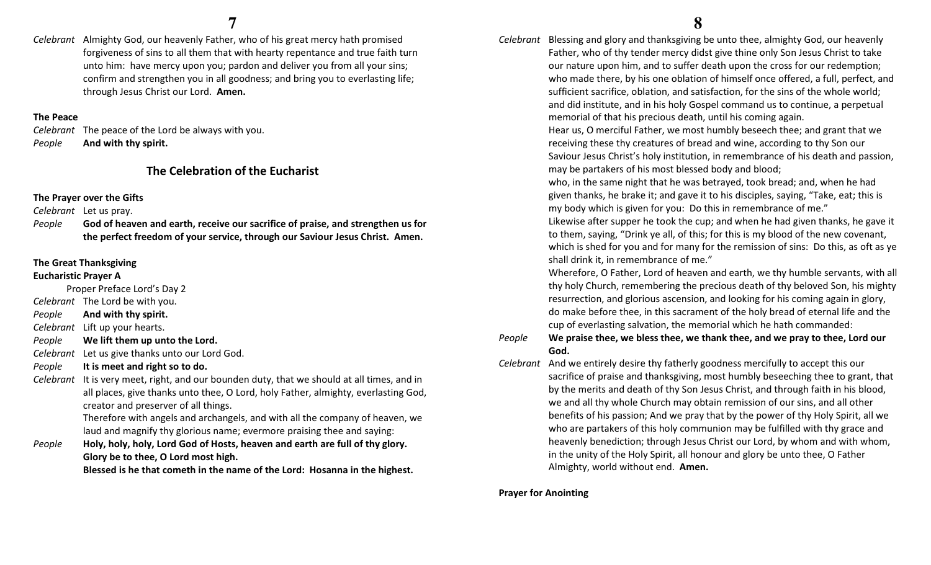Celebrant Almighty God, our heavenly Father, who of his great mercy hath promised forgiveness of sins to all them that with hearty repentance and true faith turn unto him: have mercy upon you; pardon and deliver you from all your sins; confirm and strengthen you in all goodness; and bring you to everlasting life; through Jesus Christ our Lord. Amen.

#### The Peace

Celebrant The peace of the Lord be always with you. PeopleAnd with thy spirit.

# The Celebration of the Eucharist

The Prayer over the Gifts

Celebrant Let us pray.

People God of heaven and earth, receive our sacrifice of praise, and strengthen us for the perfect freedom of your service, through our Saviour Jesus Christ. Amen.

# The Great Thanksgiving

### Eucharistic Prayer A

Proper Preface Lord's Day 2

- Celebrant The Lord be with you.
- PeopleAnd with thy spirit.

Celebrant Lift up your hearts.

PeopleWe lift them up unto the Lord.

Celebrant Let us give thanks unto our Lord God.

- PeopleIt is meet and right so to do.
- Celebrant It is very meet, right, and our bounden duty, that we should at all times, and in all places, give thanks unto thee, O Lord, holy Father, almighty, everlasting God, creator and preserver of all things.

Therefore with angels and archangels, and with all the company of heaven, we laud and magnify thy glorious name; evermore praising thee and saying:

People Holy, holy, holy, Lord God of Hosts, heaven and earth are full of thy glory. Glory be to thee, O Lord most high.

Blessed is he that cometh in the name of the Lord: Hosanna in the highest.

Celebrant Blessing and glory and thanksgiving be unto thee, almighty God, our heavenly Father, who of thy tender mercy didst give thine only Son Jesus Christ to take our nature upon him, and to suffer death upon the cross for our redemption; who made there, by his one oblation of himself once offered, a full, perfect, and sufficient sacrifice, oblation, and satisfaction, for the sins of the whole world; and did institute, and in his holy Gospel command us to continue, a perpetual memorial of that his precious death, until his coming again.

> Hear us, O merciful Father, we most humbly beseech thee; and grant that we receiving these thy creatures of bread and wine, according to thy Son our Saviour Jesus Christ's holy institution, in remembrance of his death and passion, may be partakers of his most blessed body and blood;

who, in the same night that he was betrayed, took bread; and, when he had given thanks, he brake it; and gave it to his disciples, saying, "Take, eat; this is my body which is given for you: Do this in remembrance of me."

Likewise after supper he took the cup; and when he had given thanks, he gave it to them, saying, "Drink ye all, of this; for this is my blood of the new covenant, which is shed for you and for many for the remission of sins: Do this, as oft as ye shall drink it, in remembrance of me."

Wherefore, O Father, Lord of heaven and earth, we thy humble servants, with all thy holy Church, remembering the precious death of thy beloved Son, his mighty resurrection, and glorious ascension, and looking for his coming again in glory, do make before thee, in this sacrament of the holy bread of eternal life and the cup of everlasting salvation, the memorial which he hath commanded:

#### People We praise thee, we bless thee, we thank thee, and we pray to thee, Lord our God.

Celebrant And we entirely desire thy fatherly goodness mercifully to accept this our sacrifice of praise and thanksgiving, most humbly beseeching thee to grant, that by the merits and death of thy Son Jesus Christ, and through faith in his blood, we and all thy whole Church may obtain remission of our sins, and all other benefits of his passion; And we pray that by the power of thy Holy Spirit, all we who are partakers of this holy communion may be fulfilled with thy grace and heavenly benediction; through Jesus Christ our Lord, by whom and with whom, in the unity of the Holy Spirit, all honour and glory be unto thee, O Father Almighty, world without end. Amen.

Prayer for Anointing